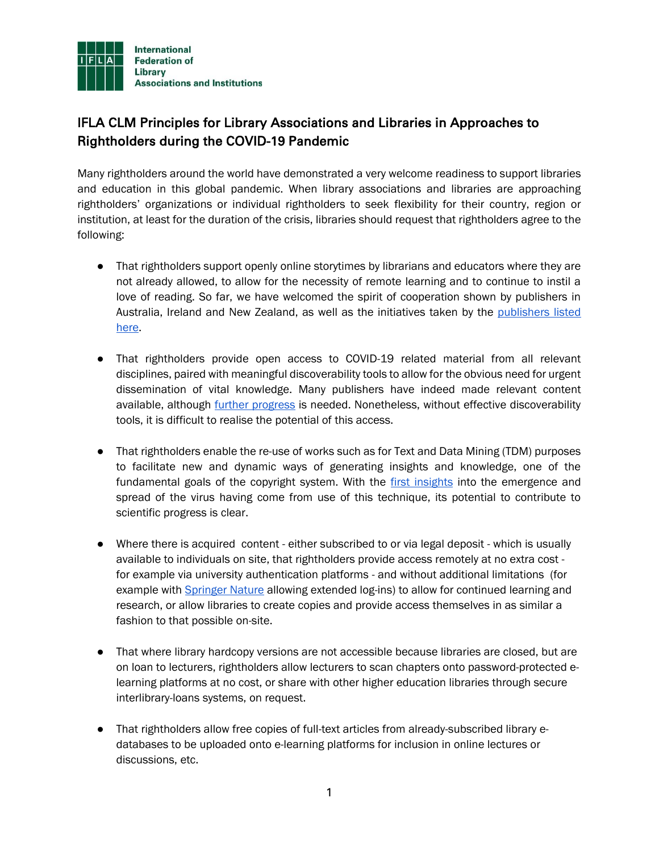

## IFLA CLM Principles for Library Associations and Libraries in Approaches to Rightholders during the COVID-19 Pandemic

Many rightholders around the world have demonstrated a very welcome readiness to support libraries and education in this global pandemic. When library associations and libraries are approaching rightholders' organizations or individual rightholders to seek flexibility for their country, region or institution, at least for the duration of the crisis, libraries should request that rightholders agree to the following:

- That rightholders support openly online storytimes by librarians and educators where they are not already allowed, to allow for the necessity of remote learning and to continue to instil a love of reading. So far, we have welcomed the spirit of cooperation shown by publishers in Australia, Ireland and New Zealand, as well as the initiatives taken by the [publishers listed](https://lunch.publishersmarketplace.com/2020/03/reference-publisher-permissions/)  [here.](https://lunch.publishersmarketplace.com/2020/03/reference-publisher-permissions/)
- That rightholders provide open access to COVID-19 related material from all relevant disciplines, paired with meaningful discoverability tools to allow for the obvious need for urgent dissemination of vital knowledge. Many publishers have indeed made relevant content available, although [further progress](https://www.liberquarterly.eu/articles/10.18352/lq.10340/) is needed. Nonetheless, without effective discoverability tools, it is difficult to realise the potential of this access.
- That rightholders enable the re-use of works such as for Text and Data Mining (TDM) purposes to facilitate new and dynamic ways of generating insights and knowledge, one of the fundamental goals of the copyright system. With the [first insights](https://www.wired.com/story/ai-epidemiologist-wuhan-public-health-warnings/) into the emergence and spread of the virus having come from use of this technique, its potential to contribute to scientific progress is clear.
- Where there is acquired content either subscribed to or via legal deposit which is usually available to individuals on site, that rightholders provide access remotely at no extra cost for example via university authentication platforms - and without additional limitations (for example with [Springer Nature](https://www.springernature.com/gp/librarians/tools-services/implement/remote-access) allowing extended log-ins) to allow for continued learning and research, or allow libraries to create copies and provide access themselves in as similar a fashion to that possible on-site.
- That where library hardcopy versions are not accessible because libraries are closed, but are on loan to lecturers, rightholders allow lecturers to scan chapters onto password-protected elearning platforms at no cost, or share with other higher education libraries through secure interlibrary-loans systems, on request.
- That rightholders allow free copies of full-text articles from already-subscribed library edatabases to be uploaded onto e-learning platforms for inclusion in online lectures or discussions, etc.